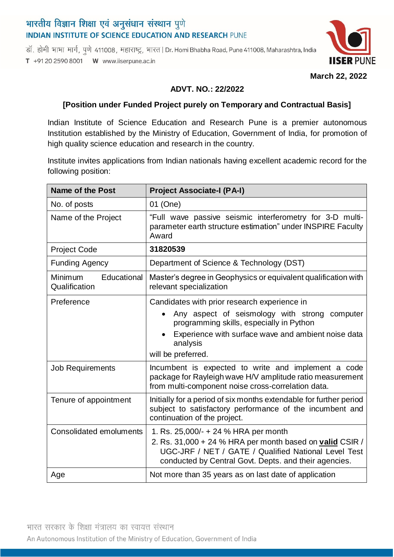# भारतीय विज्ञान शिक्षा एवं अनुसंधान संस्थान पुणे **INDIAN INSTITUTE OF SCIENCE EDUCATION AND RESEARCH PUNE**

डॉ. होमी भाभा मार्ग, पुणे 411008, महाराष्ट्र, भारत | Dr. Homi Bhabha Road, Pune 411008, Maharashtra, India T +91 20 2590 8001 W www.iiserpune.ac.in



**March 22, 2022**

### **ADVT. NO.: 22/2022**

## **[Position under Funded Project purely on Temporary and Contractual Basis]**

Indian Institute of Science Education and Research Pune is a premier autonomous Institution established by the Ministry of Education, Government of India, for promotion of high quality science education and research in the country.

Institute invites applications from Indian nationals having excellent academic record for the following position:

| <b>Name of the Post</b>                        | <b>Project Associate-I (PA-I)</b>                                                                                                                                         |
|------------------------------------------------|---------------------------------------------------------------------------------------------------------------------------------------------------------------------------|
| No. of posts                                   | 01 (One)                                                                                                                                                                  |
| Name of the Project                            | "Full wave passive seismic interferometry for 3-D multi-<br>parameter earth structure estimation" under INSPIRE Faculty<br>Award                                          |
| <b>Project Code</b>                            | 31820539                                                                                                                                                                  |
| <b>Funding Agency</b>                          | Department of Science & Technology (DST)                                                                                                                                  |
| Educational<br><b>Minimum</b><br>Qualification | Master's degree in Geophysics or equivalent qualification with<br>relevant specialization                                                                                 |
| Preference                                     | Candidates with prior research experience in                                                                                                                              |
|                                                | Any aspect of seismology with strong computer<br>programming skills, especially in Python                                                                                 |
|                                                | Experience with surface wave and ambient noise data<br>analysis                                                                                                           |
|                                                | will be preferred.                                                                                                                                                        |
| <b>Job Requirements</b>                        | Incumbent is expected to write and implement a code<br>package for Rayleigh wave H/V amplitude ratio measurement<br>from multi-component noise cross-correlation data.    |
| Tenure of appointment                          | Initially for a period of six months extendable for further period<br>subject to satisfactory performance of the incumbent and<br>continuation of the project.            |
| <b>Consolidated emoluments</b>                 | 1. Rs. $25,000/ - + 24$ % HRA per month                                                                                                                                   |
|                                                | 2. Rs. 31,000 + 24 % HRA per month based on valid CSIR /<br>UGC-JRF / NET / GATE / Qualified National Level Test<br>conducted by Central Govt. Depts. and their agencies. |
| Age                                            | Not more than 35 years as on last date of application                                                                                                                     |